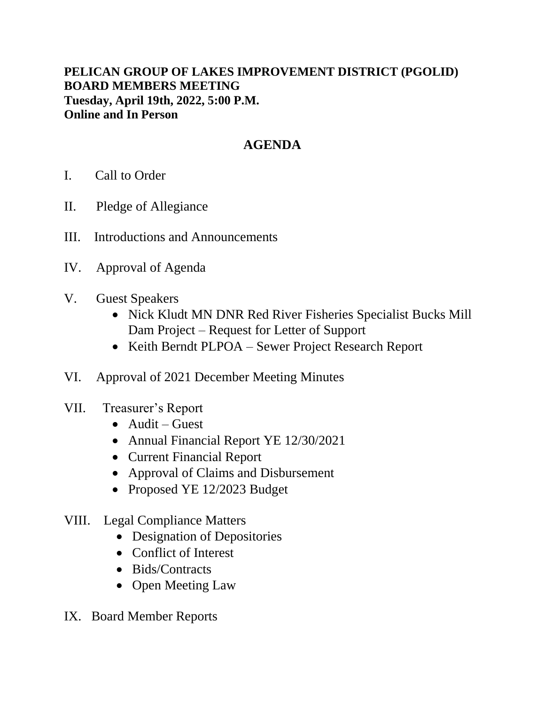## **PELICAN GROUP OF LAKES IMPROVEMENT DISTRICT (PGOLID) BOARD MEMBERS MEETING Tuesday, April 19th, 2022, 5:00 P.M. Online and In Person**

## **AGENDA**

- I. Call to Order
- II. Pledge of Allegiance
- III. Introductions and Announcements
- IV. Approval of Agenda
- V. Guest Speakers
	- Nick Kludt MN DNR Red River Fisheries Specialist Bucks Mill Dam Project – Request for Letter of Support
	- Keith Berndt PLPOA Sewer Project Research Report
- VI. Approval of 2021 December Meeting Minutes
- VII. Treasurer's Report
	- Audit Guest
	- Annual Financial Report YE 12/30/2021
	- Current Financial Report
	- Approval of Claims and Disbursement
	- Proposed YE 12/2023 Budget
- VIII. Legal Compliance Matters
	- Designation of Depositories
	- Conflict of Interest
	- Bids/Contracts
	- Open Meeting Law
- IX. Board Member Reports